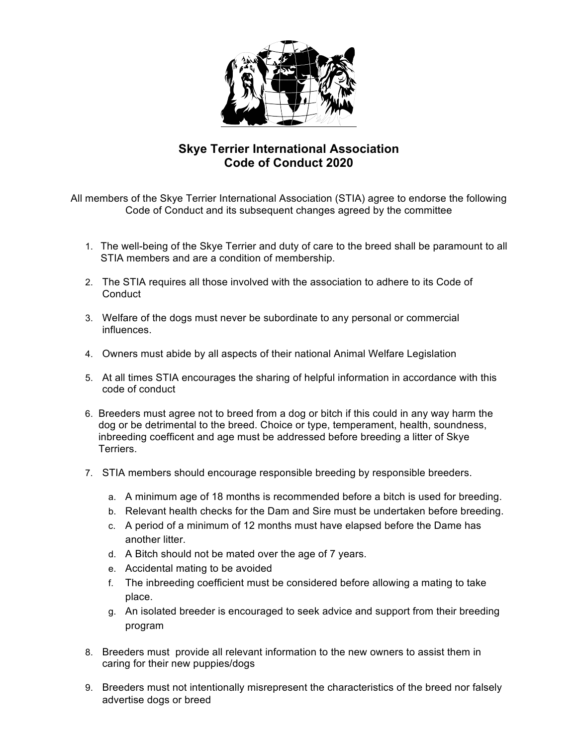

## **Skye Terrier International Association Code of Conduct 2020**

All members of the Skye Terrier International Association (STIA) agree to endorse the following Code of Conduct and its subsequent changes agreed by the committee

- 1. The well-being of the Skye Terrier and duty of care to the breed shall be paramount to all STIA members and are a condition of membership.
- 2. The STIA requires all those involved with the association to adhere to its Code of **Conduct**
- 3. Welfare of the dogs must never be subordinate to any personal or commercial influences.
- 4. Owners must abide by all aspects of their national Animal Welfare Legislation
- 5. At all times STIA encourages the sharing of helpful information in accordance with this code of conduct
- 6. Breeders must agree not to breed from a dog or bitch if this could in any way harm the dog or be detrimental to the breed. Choice or type, temperament, health, soundness, inbreeding coefficent and age must be addressed before breeding a litter of Skye Terriers.
- 7. STIA members should encourage responsible breeding by responsible breeders.
	- a. A minimum age of 18 months is recommended before a bitch is used for breeding.
	- b. Relevant health checks for the Dam and Sire must be undertaken before breeding.
	- c. A period of a minimum of 12 months must have elapsed before the Dame has another litter.
	- d. A Bitch should not be mated over the age of 7 years.
	- e. Accidental mating to be avoided
	- f. The inbreeding coefficient must be considered before allowing a mating to take place.
	- g. An isolated breeder is encouraged to seek advice and support from their breeding program
- 8. Breeders must provide all relevant information to the new owners to assist them in caring for their new puppies/dogs
- 9. Breeders must not intentionally misrepresent the characteristics of the breed nor falsely advertise dogs or breed